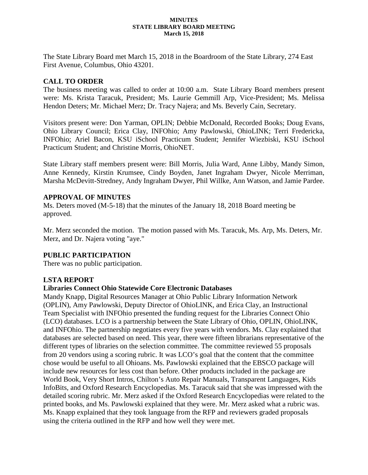#### **MINUTES STATE LIBRARY BOARD MEETING March 15, 2018**

The State Library Board met March 15, 2018 in the Boardroom of the State Library, 274 East First Avenue, Columbus, Ohio 43201.

### **CALL TO ORDER**

The business meeting was called to order at 10:00 a.m. State Library Board members present were: Ms. Krista Taracuk, President; Ms. Laurie Gemmill Arp, Vice-President; Ms. Melissa Hendon Deters; Mr. Michael Merz; Dr. Tracy Najera; and Ms. Beverly Cain, Secretary.

Visitors present were: Don Yarman, OPLIN; Debbie McDonald, Recorded Books; Doug Evans, Ohio Library Council; Erica Clay, INFOhio; Amy Pawlowski, OhioLINK; Terri Fredericka, INFOhio; Ariel Bacon, KSU iSchool Practicum Student; Jennifer Wiezbiski, KSU iSchool Practicum Student; and Christine Morris, OhioNET.

State Library staff members present were: Bill Morris, Julia Ward, Anne Libby, Mandy Simon, Anne Kennedy, Kirstin Krumsee, Cindy Boyden, Janet Ingraham Dwyer, Nicole Merriman, Marsha McDevitt-Stredney, Andy Ingraham Dwyer, Phil Willke, Ann Watson, and Jamie Pardee.

### **APPROVAL OF MINUTES**

Ms. Deters moved (M-5-18) that the minutes of the January 18, 2018 Board meeting be approved.

Mr. Merz seconded the motion. The motion passed with Ms. Taracuk, Ms. Arp, Ms. Deters, Mr. Merz, and Dr. Najera voting "aye."

### **PUBLIC PARTICIPATION**

There was no public participation.

### **LSTA REPORT**

### **Libraries Connect Ohio Statewide Core Electronic Databases**

Mandy Knapp, Digital Resources Manager at Ohio Public Library Information Network (OPLIN), Amy Pawlowski, Deputy Director of OhioLINK, and Erica Clay, an Instructional Team Specialist with INFOhio presented the funding request for the Libraries Connect Ohio (LCO) databases. LCO is a partnership between the State Library of Ohio, OPLIN, OhioLINK, and INFOhio. The partnership negotiates every five years with vendors. Ms. Clay explained that databases are selected based on need. This year, there were fifteen librarians representative of the different types of libraries on the selection committee. The committee reviewed 55 proposals from 20 vendors using a scoring rubric. It was LCO's goal that the content that the committee chose would be useful to all Ohioans. Ms. Pawlowski explained that the EBSCO package will include new resources for less cost than before. Other products included in the package are World Book, Very Short Intros, Chilton's Auto Repair Manuals, Transparent Languages, Kids InfoBits, and Oxford Research Encyclopedias. Ms. Taracuk said that she was impressed with the detailed scoring rubric. Mr. Merz asked if the Oxford Research Encyclopedias were related to the printed books, and Ms. Pawlowski explained that they were. Mr. Merz asked what a rubric was. Ms. Knapp explained that they took language from the RFP and reviewers graded proposals using the criteria outlined in the RFP and how well they were met.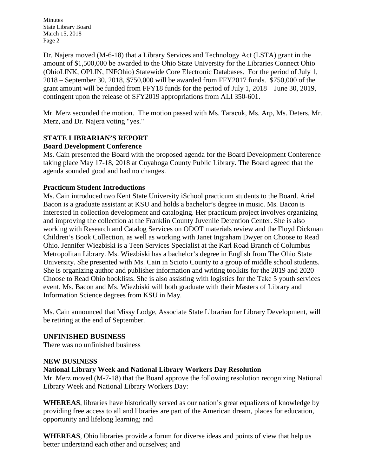Minutes State Library Board March 15, 2018 Page 2

Dr. Najera moved (M-6-18) that a Library Services and Technology Act (LSTA) grant in the amount of \$1,500,000 be awarded to the Ohio State University for the Libraries Connect Ohio (OhioLINK, OPLIN, INFOhio) Statewide Core Electronic Databases. For the period of July 1, 2018 – September 30, 2018, \$750,000 will be awarded from FFY2017 funds. \$750,000 of the grant amount will be funded from FFY18 funds for the period of July 1, 2018 – June 30, 2019, contingent upon the release of SFY2019 appropriations from ALI 350-601.

Mr. Merz seconded the motion. The motion passed with Ms. Taracuk, Ms. Arp, Ms. Deters, Mr. Merz, and Dr. Najera voting "yes."

#### **STATE LIBRARIAN'S REPORT Board Development Conference**

Ms. Cain presented the Board with the proposed agenda for the Board Development Conference taking place May 17-18, 2018 at Cuyahoga County Public Library. The Board agreed that the agenda sounded good and had no changes.

## **Practicum Student Introductions**

Ms. Cain introduced two Kent State University iSchool practicum students to the Board. Ariel Bacon is a graduate assistant at KSU and holds a bachelor's degree in music. Ms. Bacon is interested in collection development and cataloging. Her practicum project involves organizing and improving the collection at the Franklin County Juvenile Detention Center. She is also working with Research and Catalog Services on ODOT materials review and the Floyd Dickman Children's Book Collection, as well as working with Janet Ingraham Dwyer on Choose to Read Ohio. Jennifer Wiezbiski is a Teen Services Specialist at the Karl Road Branch of Columbus Metropolitan Library. Ms. Wiezbiski has a bachelor's degree in English from The Ohio State University. She presented with Ms. Cain in Scioto County to a group of middle school students. She is organizing author and publisher information and writing toolkits for the 2019 and 2020 Choose to Read Ohio booklists. She is also assisting with logistics for the Take 5 youth services event. Ms. Bacon and Ms. Wiezbiski will both graduate with their Masters of Library and Information Science degrees from KSU in May.

Ms. Cain announced that Missy Lodge, Associate State Librarian for Library Development, will be retiring at the end of September.

### **UNFINISHED BUSINESS**

There was no unfinished business

### **NEW BUSINESS**

# **National Library Week and National Library Workers Day Resolution**

Mr. Merz moved (M-7-18) that the Board approve the following resolution recognizing National Library Week and National Library Workers Day:

**WHEREAS**, libraries have historically served as our nation's great equalizers of knowledge by providing free access to all and libraries are part of the American dream, places for education, opportunity and lifelong learning; and

**WHEREAS**, Ohio libraries provide a forum for diverse ideas and points of view that help us better understand each other and ourselves; and